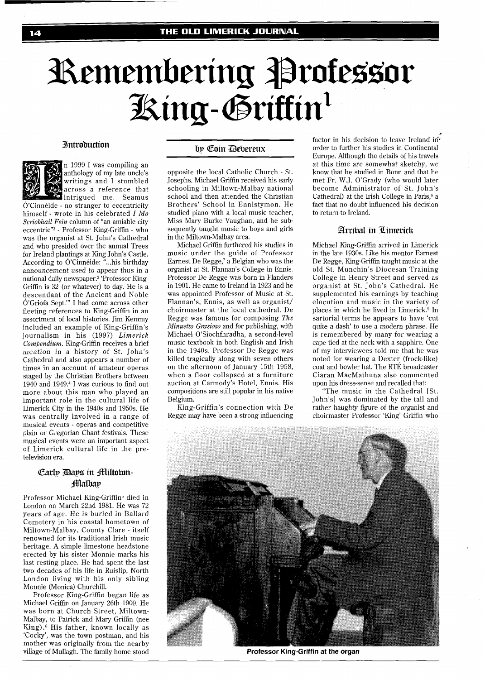# Remembering Professor King-Griffin<sup>1</sup>

#### **Introduction**



n 1999 I was compiling an anthology of my late uncle's writings and I stumbled across a reference that intrigued me. Seamus

 $\acute{o}$ 'Cinnéide - no stranger to eccentricity himself - wrote in his celebrated I *MO Scyiobhail Fein* column of "an amiable city eccentric"<sup>2</sup> - Professor King-Griffin - who was the organist at St. John's Cathedral and who presided over the annual Trees for Ireland plantings at King John's Castle. According to O'Cinneide: "...his birthday announcement used to appear thus in a national daily newspaper.<sup>3</sup> 'Professor King-Griffin is 32 (or whatever) to day. He is a descendant of the Ancient and Noble O'Griofa Sept."' I had come across other fleeting references to King-Griffin in an assortment of local histories. Jim Kemmy included an example of King-Griffin's journalism in his (1997) *Limerick Compendium.* King-Griffin receives a brief mention in a history of St. John's Cathedral and also appears a number of times in an account of amateur operas staged by the Christian Brothers between 1940 and 1949.\* I was curious to find out more about this man who played an important role in the cultural life of Limerick City in the 1940s and 1950s. He was centrally involved in a range of musical events - operas and competitive plain or Gregorian Chant festivals. These musical events were an important aspect of Limerick cultural life in the pretelevision era.

# Carly Days in Miltown**fflalbav**

Professor Michael King-Griffin5 died in London on March 22nd 1981. He was 72 years of age. He is buried in Ballard Cemetery in his coastal hometown of Miltown-Malbay, County Clare - itself renowned for its traditional Irish music heritage. A simple limestone headstone erected by his sister Monnie marks his last resting place. He had spent the last two decades of his life in Ruislip, North London living with his only sibling Monnie (Monica) Churchill.

Professor King-Griffin began life as Michael Griffin on January 26th 1909. He was born at Church Street, Miltown-Malbay, to Patrick and Mary Griffin (nee<br>King).<sup>6</sup> His father, known locally as 'Cocky', was the town postman, and his mother was originally from the nearby village of Mullagh. The family home stood

# by Coin Devereux

opposite the local Catholic Church - St. Josephs. Michael Griffin received his early schooling in Miltown-Malbay national school and then attended the Christian Brothers' School in Ennistymon. He studied piano with a local music teacher, Miss Mary Burke Vaughan, and he subsequently taught music to boys and girls in the Miltown-Malbay area.

Michael Griffin furthered his studies in music under the guide of Professor Earnest De Regge,7 a Belgian who was the organist at St. Flannan's College in Ennis. Professor De Regge was born in Flanders in 1901. He came to Ireland in 1923 and he was appointed Professor of Music at St. Flannan's, Ennis, as well as organist/ choirmaster at the local cathedral. De Regge was famous for composing *The Minuetto Grazioso* and for publishing, with Michael O'Siochfhradha, a second-level music textbook in both English and Irish in the 1940s. Professor De Regge was killed tragically along with seven others on the afternoon of January 15th 1958, when a floor collapsed at a furniture auction at Carmody's Hotel, Ennis. His compositions are still popular in his native Belgium.

King-Griffin's connection with De Regge may have been a strong influencing

. factor in his decision to leave Ireland inorder to further his studies in Continental Europe. Although the details of his travels at this time are somewhat sketchy, we know that he studied in Bonn and that he met Fr. W.J. O'Grady (who would later become Administrator of St. John's Cathedral) at the Irish College in Paris,<sup>8</sup> a fact that no doubt influenced his decision to return to Ireland.

#### Arribal in Limerick

Michael King-Griffin arrived in Limerick in the late 1930s. Like his mentor Earnest De Regge, King-Griffin taught music at the old St. Munchin's Diocesan Training College in Henry Street and served as organist at St. John's Cathedral. He supplemented his earnings by teaching elocution and music in the variety of places in which he lived in Limerick. $9$  In sartorial terms he appears to have 'cut quite a dash' to use a modern phrase. He is remembered by many for wearing a cape tied at the neck with a sapphire. One of my interviewees told me that he was noted for wearing a Dexter (frock-like) coat and bowler hat. The RTE broadcaster Ciaran MacMathuna also commented upon his dress-sense and recalled that:

"The music in the Cathedral [St. John's] was dominated by the tall and rather haughty figure of the organist and choirmaster Professor 'King' Griffin who



**Professor King-Griffin at the organ**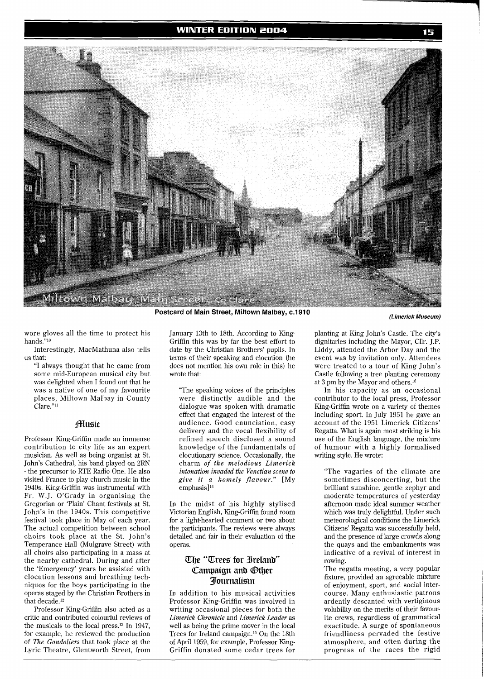

**Postcard of Main Street, Miltown Malbay, c.1910 (Limerick Museum)** 

wore gloves all the time to protect his hands."lo

Interestingly, MacMathuna also tells us that:

"I always thought that he came from some mid-European musical city but was delighted when I found out that he was a native of one of my favourite places, Miltown Malbay in County Clare."11

### Hlusic

Professor King-Griffin made an immense contribution to city life as an expert musician. As well as being organist at St. John's Cathedral, his band played on 2RN - the precursor to RTE Radio One. He also visited France to play church music in the 1940s. King-Griffin was instrumental with Fr. W.J. O'Grady in organising the Gregorian or 'Plain' Chant festivals at St. John's in the 1940s. This competitive festival took place in May of each year. The actual competition between school choirs took place at the St. John's Temperance Hall (Mulgrave Street) with all choirs also participating in a mass at the nearby cathedral. During and after the 'Emergency' years he assisted with elocution lessons and breathing techniques for the boys participating in the operas staged by the Christian Brothers in that decade.12

Professor King-Griffin also acted as a critic and contributed colourful reviews of the musicals to the local press.13 In 1947, for example, he reviewed the production of *The Gondoliers* that took place at the Lyric Theatre, Glentworth Street, from

January 13th to 18th. According to King-Griffin this was by far the best effort to date by the Christian Brothers' pupils. In terms of their speaking and elocution (he does not mention his own role in this) he wrote that:

"The speaking voices of the principles were distinctly audible and the dialogue was spoken with dramatic effect that engaged the interest of the audience. Good enunciation, easy delivery and the vocal flexibility of refined speech disclosed a sound knowledge of the fundamentals of elocutionary science. Occasionally, the charm *of the melodious Limerick intonation invaded the Venetian scene to give it a homely flavour."* [My emphasis] **l4** 

In the midst of his highly stylised Victorian English, King-Griffin found room for a light-hearted comment or two about the participants. The reviews were always detailed and fair in their evaluation of the operas.

# The "Trees for Ireland" Campaign and Other **Journalism**

In addition to his musical activities Professor King-Griffin was involved in writing occasional pieces for both the *Limerick Chronicle* and *Limerick Leader* as well as being the prime mover in the local Trees for Ireland campaign.15 On the 18th of April 1959, for example, Professor King-Griffin donated some cedar trees for

planting at King John's Castle. The city's dignitaries including the Mayor, Cllr. J.P. Liddy, attended the Arbor Day and the event was by invitation only. Attendees were treated to a tour of King John's Castle following a tree planting ceremony at 3 pm by the Mayor and others.16

In his capacity as an occasional contributor to the local press, Professor King-Griffin wrote on a variety of themes including sport. In July 1951 he gave an account of the 1951 Limerick Citizens' Regatta. What is again most striking is his use of the English language, the mixture of humour with a highly formalised writing style. He wrote:

"The vagaries of the climate are sometimes disconcerting, but the brilliant sunshine, gentle zephyr and moderate temperatures of yesterday afternoon made ideal summer weather which was truly delightful. Under such meteorological conditions the Limerick Citizens' Regatta was successfully held, and the presence of large crowds along the quays and the embankments was indicative of a revival of interest in rowing.

The regatta meeting, a very popular fixture, provided an agreeable mixture of enjoyment, sport, and social intercourse. Many enthusiastic patrons ardently descanted with vertiginous volubility on the merits of their favourite crews, regardless of grammatical exactitude. A surge of spontaneous friendliness pervaded the festive atmosphere, and often during the progress of the races the rigid